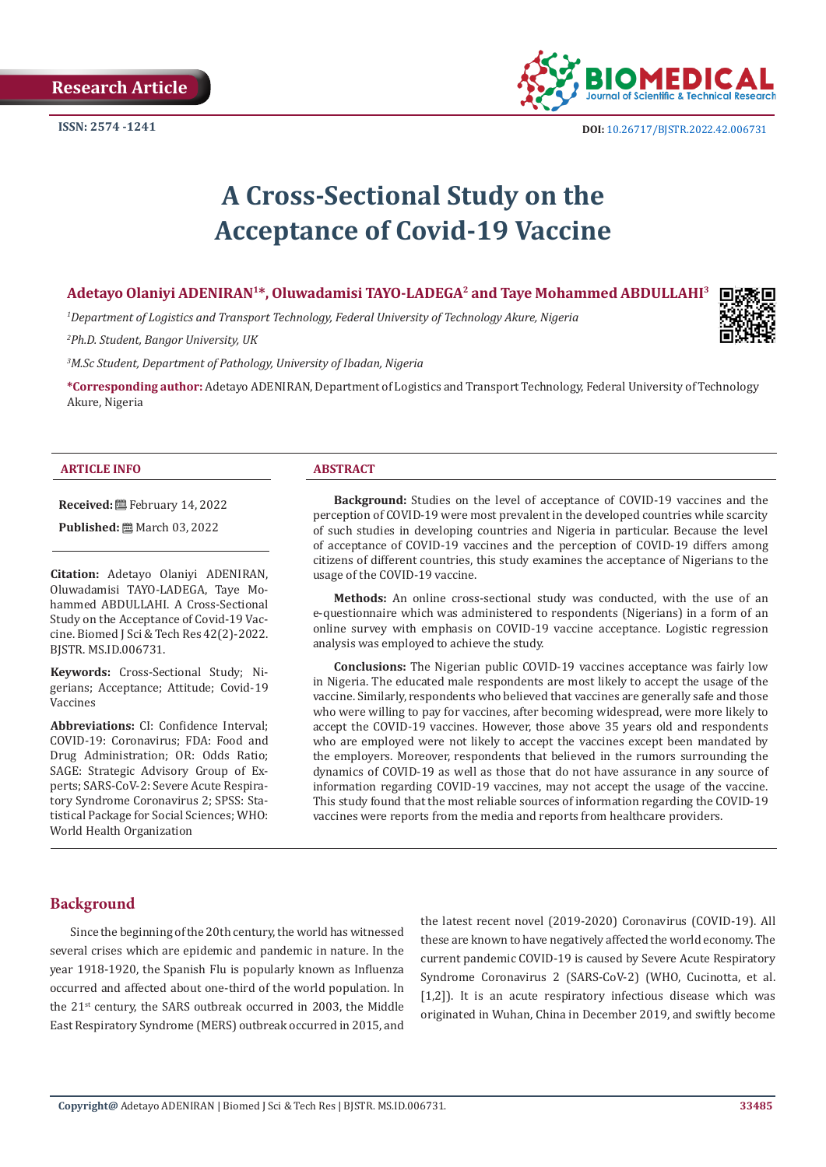

# **A Cross-Sectional Study on the Acceptance of Covid-19 Vaccine**

# **Adetayo Olaniyi ADENIRAN1\*, Oluwadamisi TAYO-LADEGA2 and Taye Mohammed ABDULLAHI3**

*1 Department of Logistics and Transport Technology, Federal University of Technology Akure, Nigeria*

*2 Ph.D. Student, Bangor University, UK*

*3 M.Sc Student, Department of Pathology, University of Ibadan, Nigeria* 

**\*Corresponding author:** Adetayo ADENIRAN, Department of Logistics and Transport Technology, Federal University of Technology Akure, Nigeria

#### **ARTICLE INFO ABSTRACT**

**Received:** February 14, 2022

**Published:** ■ March 03, 2022

**Citation:** Adetayo Olaniyi ADENIRAN, Oluwadamisi TAYO-LADEGA, Taye Mohammed ABDULLAHI. A Cross-Sectional Study on the Acceptance of Covid-19 Vaccine. Biomed J Sci & Tech Res 42(2)-2022. BJSTR. MS.ID.006731.

**Keywords:** Cross-Sectional Study; Nigerians; Acceptance; Attitude; Covid-19 Vaccines

**Abbreviations:** CI: Confidence Interval; COVID-19: Coronavirus; FDA: Food and Drug Administration; OR: Odds Ratio; SAGE: Strategic Advisory Group of Experts; SARS-CoV-2: Severe Acute Respiratory Syndrome Coronavirus 2; SPSS: Statistical Package for Social Sciences; WHO: World Health Organization

**Background:** Studies on the level of acceptance of COVID-19 vaccines and the perception of COVID-19 were most prevalent in the developed countries while scarcity of such studies in developing countries and Nigeria in particular. Because the level of acceptance of COVID-19 vaccines and the perception of COVID-19 differs among citizens of different countries, this study examines the acceptance of Nigerians to the usage of the COVID-19 vaccine.

**Methods:** An online cross-sectional study was conducted, with the use of an e-questionnaire which was administered to respondents (Nigerians) in a form of an online survey with emphasis on COVID-19 vaccine acceptance. Logistic regression analysis was employed to achieve the study.

**Conclusions:** The Nigerian public COVID-19 vaccines acceptance was fairly low in Nigeria. The educated male respondents are most likely to accept the usage of the vaccine. Similarly, respondents who believed that vaccines are generally safe and those who were willing to pay for vaccines, after becoming widespread, were more likely to accept the COVID-19 vaccines. However, those above 35 years old and respondents who are employed were not likely to accept the vaccines except been mandated by the employers. Moreover, respondents that believed in the rumors surrounding the dynamics of COVID-19 as well as those that do not have assurance in any source of information regarding COVID-19 vaccines, may not accept the usage of the vaccine. This study found that the most reliable sources of information regarding the COVID-19 vaccines were reports from the media and reports from healthcare providers.

# **Background**

Since the beginning of the 20th century, the world has witnessed several crises which are epidemic and pandemic in nature. In the year 1918-1920, the Spanish Flu is popularly known as Influenza occurred and affected about one-third of the world population. In the 21<sup>st</sup> century, the SARS outbreak occurred in 2003, the Middle East Respiratory Syndrome (MERS) outbreak occurred in 2015, and

the latest recent novel (2019-2020) Coronavirus (COVID-19). All these are known to have negatively affected the world economy. The current pandemic COVID-19 is caused by Severe Acute Respiratory Syndrome Coronavirus 2 (SARS-CoV-2) (WHO, Cucinotta, et al. [1,2]). It is an acute respiratory infectious disease which was originated in Wuhan, China in December 2019, and swiftly become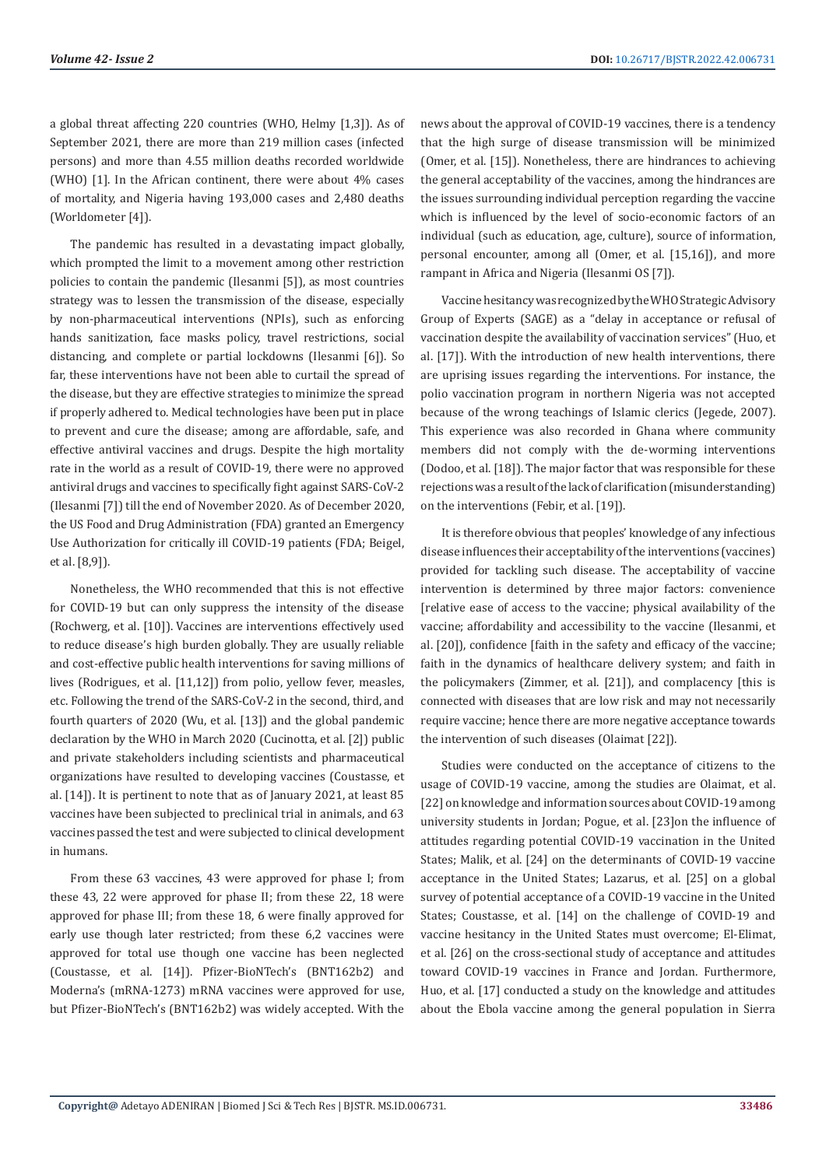a global threat affecting 220 countries (WHO, Helmy [1,3]). As of September 2021, there are more than 219 million cases (infected persons) and more than 4.55 million deaths recorded worldwide (WHO) [1]. In the African continent, there were about 4% cases of mortality, and Nigeria having 193,000 cases and 2,480 deaths (Worldometer [4]).

The pandemic has resulted in a devastating impact globally, which prompted the limit to a movement among other restriction policies to contain the pandemic (Ilesanmi [5]), as most countries strategy was to lessen the transmission of the disease, especially by non-pharmaceutical interventions (NPIs), such as enforcing hands sanitization, face masks policy, travel restrictions, social distancing, and complete or partial lockdowns (Ilesanmi [6]). So far, these interventions have not been able to curtail the spread of the disease, but they are effective strategies to minimize the spread if properly adhered to. Medical technologies have been put in place to prevent and cure the disease; among are affordable, safe, and effective antiviral vaccines and drugs. Despite the high mortality rate in the world as a result of COVID-19, there were no approved antiviral drugs and vaccines to specifically fight against SARS-CoV-2 (Ilesanmi [7]) till the end of November 2020. As of December 2020, the US Food and Drug Administration (FDA) granted an Emergency Use Authorization for critically ill COVID-19 patients (FDA; Beigel, et al. [8,9]).

Nonetheless, the WHO recommended that this is not effective for COVID-19 but can only suppress the intensity of the disease (Rochwerg, et al. [10]). Vaccines are interventions effectively used to reduce disease's high burden globally. They are usually reliable and cost-effective public health interventions for saving millions of lives (Rodrigues, et al. [11,12]) from polio, yellow fever, measles, etc. Following the trend of the SARS-CoV-2 in the second, third, and fourth quarters of 2020 (Wu, et al. [13]) and the global pandemic declaration by the WHO in March 2020 (Cucinotta, et al. [2]) public and private stakeholders including scientists and pharmaceutical organizations have resulted to developing vaccines (Coustasse, et al. [14]). It is pertinent to note that as of January 2021, at least 85 vaccines have been subjected to preclinical trial in animals, and 63 vaccines passed the test and were subjected to clinical development in humans.

From these 63 vaccines, 43 were approved for phase I; from these 43, 22 were approved for phase II; from these 22, 18 were approved for phase III; from these 18, 6 were finally approved for early use though later restricted; from these 6,2 vaccines were approved for total use though one vaccine has been neglected (Coustasse, et al. [14]). Pfizer-BioNTech's (BNT162b2) and Moderna's (mRNA-1273) mRNA vaccines were approved for use, but Pfizer-BioNTech's (BNT162b2) was widely accepted. With the

news about the approval of COVID-19 vaccines, there is a tendency that the high surge of disease transmission will be minimized (Omer, et al. [15]). Nonetheless, there are hindrances to achieving the general acceptability of the vaccines, among the hindrances are the issues surrounding individual perception regarding the vaccine which is influenced by the level of socio-economic factors of an individual (such as education, age, culture), source of information, personal encounter, among all (Omer, et al. [15,16]), and more rampant in Africa and Nigeria (Ilesanmi OS [7]).

Vaccine hesitancy was recognized by the WHO Strategic Advisory Group of Experts (SAGE) as a "delay in acceptance or refusal of vaccination despite the availability of vaccination services" (Huo, et al. [17]). With the introduction of new health interventions, there are uprising issues regarding the interventions. For instance, the polio vaccination program in northern Nigeria was not accepted because of the wrong teachings of Islamic clerics (Jegede, 2007). This experience was also recorded in Ghana where community members did not comply with the de-worming interventions (Dodoo, et al. [18]). The major factor that was responsible for these rejections was a result of the lack of clarification (misunderstanding) on the interventions (Febir, et al. [19]).

It is therefore obvious that peoples' knowledge of any infectious disease influences their acceptability of the interventions (vaccines) provided for tackling such disease. The acceptability of vaccine intervention is determined by three major factors: convenience [relative ease of access to the vaccine; physical availability of the vaccine; affordability and accessibility to the vaccine (Ilesanmi, et al. [20]), confidence [faith in the safety and efficacy of the vaccine; faith in the dynamics of healthcare delivery system; and faith in the policymakers (Zimmer, et al. [21]), and complacency [this is connected with diseases that are low risk and may not necessarily require vaccine; hence there are more negative acceptance towards the intervention of such diseases (Olaimat [22]).

Studies were conducted on the acceptance of citizens to the usage of COVID-19 vaccine, among the studies are Olaimat, et al. [22] on knowledge and information sources about COVID-19 among university students in Jordan; Pogue, et al. [23]on the influence of attitudes regarding potential COVID-19 vaccination in the United States; Malik, et al. [24] on the determinants of COVID-19 vaccine acceptance in the United States; Lazarus, et al. [25] on a global survey of potential acceptance of a COVID-19 vaccine in the United States; Coustasse, et al. [14] on the challenge of COVID-19 and vaccine hesitancy in the United States must overcome; El-Elimat, et al. [26] on the cross-sectional study of acceptance and attitudes toward COVID-19 vaccines in France and Jordan. Furthermore, Huo, et al. [17] conducted a study on the knowledge and attitudes about the Ebola vaccine among the general population in Sierra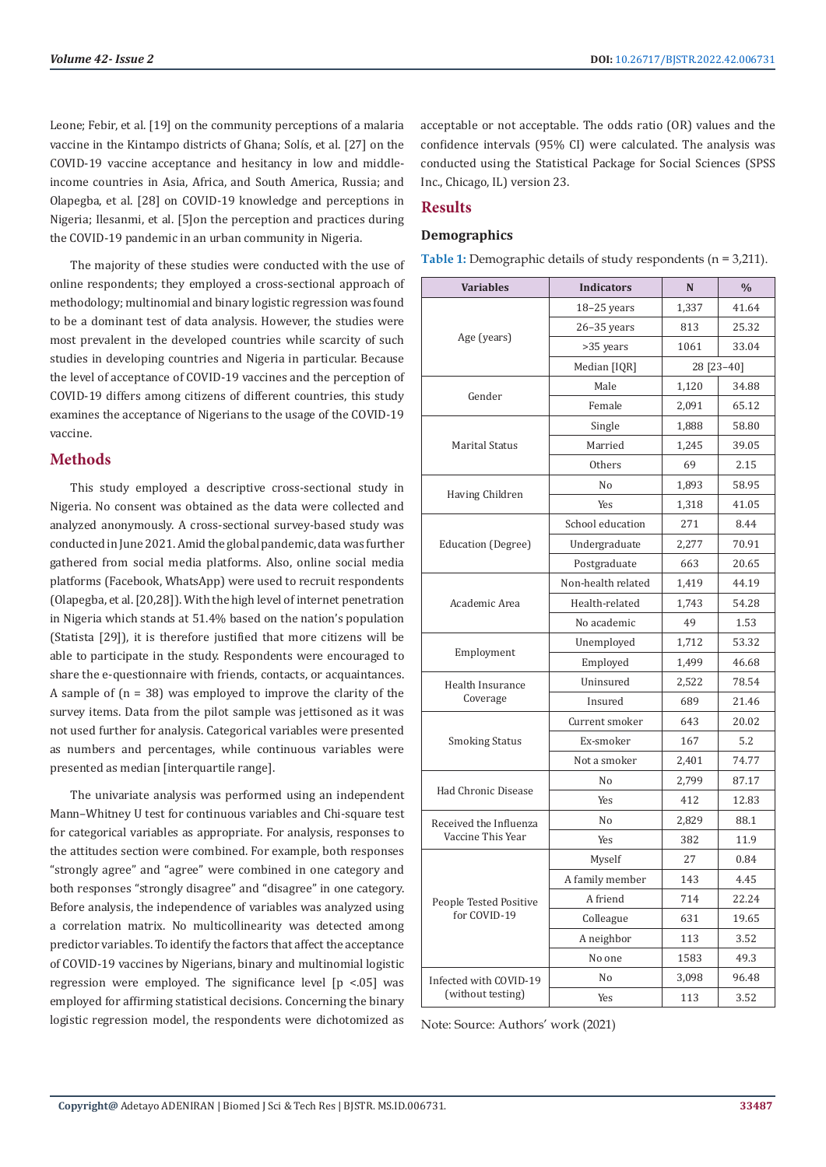Leone; Febir, et al. [19] on the community perceptions of a malaria vaccine in the Kintampo districts of Ghana; Solís, et al. [27] on the COVID-19 vaccine acceptance and hesitancy in low and middleincome countries in Asia, Africa, and South America, Russia; and Olapegba, et al. [28] on COVID-19 knowledge and perceptions in Nigeria; Ilesanmi, et al. [5]on the perception and practices during the COVID-19 pandemic in an urban community in Nigeria.

The majority of these studies were conducted with the use of online respondents; they employed a cross-sectional approach of methodology; multinomial and binary logistic regression was found to be a dominant test of data analysis. However, the studies were most prevalent in the developed countries while scarcity of such studies in developing countries and Nigeria in particular. Because the level of acceptance of COVID-19 vaccines and the perception of COVID-19 differs among citizens of different countries, this study examines the acceptance of Nigerians to the usage of the COVID-19 vaccine.

# **Methods**

This study employed a descriptive cross-sectional study in Nigeria. No consent was obtained as the data were collected and analyzed anonymously. A cross-sectional survey-based study was conducted in June 2021. Amid the global pandemic, data was further gathered from social media platforms. Also, online social media platforms (Facebook, WhatsApp) were used to recruit respondents (Olapegba, et al. [20,28]). With the high level of internet penetration in Nigeria which stands at 51.4% based on the nation's population (Statista [29]), it is therefore justified that more citizens will be able to participate in the study. Respondents were encouraged to share the e-questionnaire with friends, contacts, or acquaintances. A sample of  $(n = 38)$  was employed to improve the clarity of the survey items. Data from the pilot sample was jettisoned as it was not used further for analysis. Categorical variables were presented as numbers and percentages, while continuous variables were presented as median [interquartile range].

The univariate analysis was performed using an independent Mann–Whitney U test for continuous variables and Chi-square test for categorical variables as appropriate. For analysis, responses to the attitudes section were combined. For example, both responses "strongly agree" and "agree" were combined in one category and both responses "strongly disagree" and "disagree" in one category. Before analysis, the independence of variables was analyzed using a correlation matrix. No multicollinearity was detected among predictor variables. To identify the factors that affect the acceptance of COVID-19 vaccines by Nigerians, binary and multinomial logistic regression were employed. The significance level  $[p \le 0.05]$  was employed for affirming statistical decisions. Concerning the binary logistic regression model, the respondents were dichotomized as

acceptable or not acceptable. The odds ratio (OR) values and the confidence intervals (95% CI) were calculated. The analysis was conducted using the Statistical Package for Social Sciences (SPSS Inc., Chicago, IL) version 23.

# **Results**

# **Demographics**

| Table 1: Demographic details of study respondents ( $n = 3,211$ ). |  |  |
|--------------------------------------------------------------------|--|--|
|                                                                    |  |  |

| <b>Variables</b>       | <b>Indicators</b>  | N          | $\frac{0}{0}$ |
|------------------------|--------------------|------------|---------------|
|                        | $18-25$ years      | 1,337      | 41.64         |
|                        | $26 - 35$ years    | 813        | 25.32         |
| Age (years)            | >35 years          | 1061       | 33.04         |
|                        | Median [IQR]       | 28 [23-40] |               |
|                        | Male               | 1,120      | 34.88         |
| Gender                 | Female             | 2,091      | 65.12         |
|                        | Single             | 1,888      | 58.80         |
| Marital Status         | Married            | 1,245      | 39.05         |
|                        | <b>Others</b>      | 69         | 2.15          |
|                        | No                 | 1,893      | 58.95         |
| Having Children        | Yes                | 1,318      | 41.05         |
|                        | School education   | 271        | 8.44          |
| Education (Degree)     | Undergraduate      | 2,277      | 70.91         |
|                        | Postgraduate       | 663        | 20.65         |
|                        | Non-health related | 1,419      | 44.19         |
| Academic Area          | Health-related     | 1,743      | 54.28         |
|                        | No academic        | 49         | 1.53          |
|                        | Unemployed         | 1,712      | 53.32         |
| Employment             | Employed           | 1,499      | 46.68         |
| Health Insurance       | Uninsured          | 2,522      | 78.54         |
| Coverage               | Insured            | 689        | 21.46         |
|                        | Current smoker     | 643        | 20.02         |
| Smoking Status         | Ex-smoker          | 167        | 5.2           |
|                        | Not a smoker       | 2,401      | 74.77         |
|                        | No                 | 2,799      | 87.17         |
| Had Chronic Disease    | Yes                | 412        | 12.83         |
| Received the Influenza | No                 | 2,829      | 88.1          |
| Vaccine This Year      | Yes                | 382        | 11.9          |
|                        | Myself             | 27         | 0.84          |
|                        | A family member    | 143        | 4.45          |
| People Tested Positive | A friend           | 714        | 22.24         |
| for COVID-19           | Colleague          | 631        | 19.65         |
|                        | A neighbor         | 113        | 3.52          |
|                        | No one             | 1583       | 49.3          |
| Infected with COVID-19 | No                 | 3,098      | 96.48         |
| (without testing)      | Yes                | 113        | 3.52          |

Note: Source: Authors' work (2021)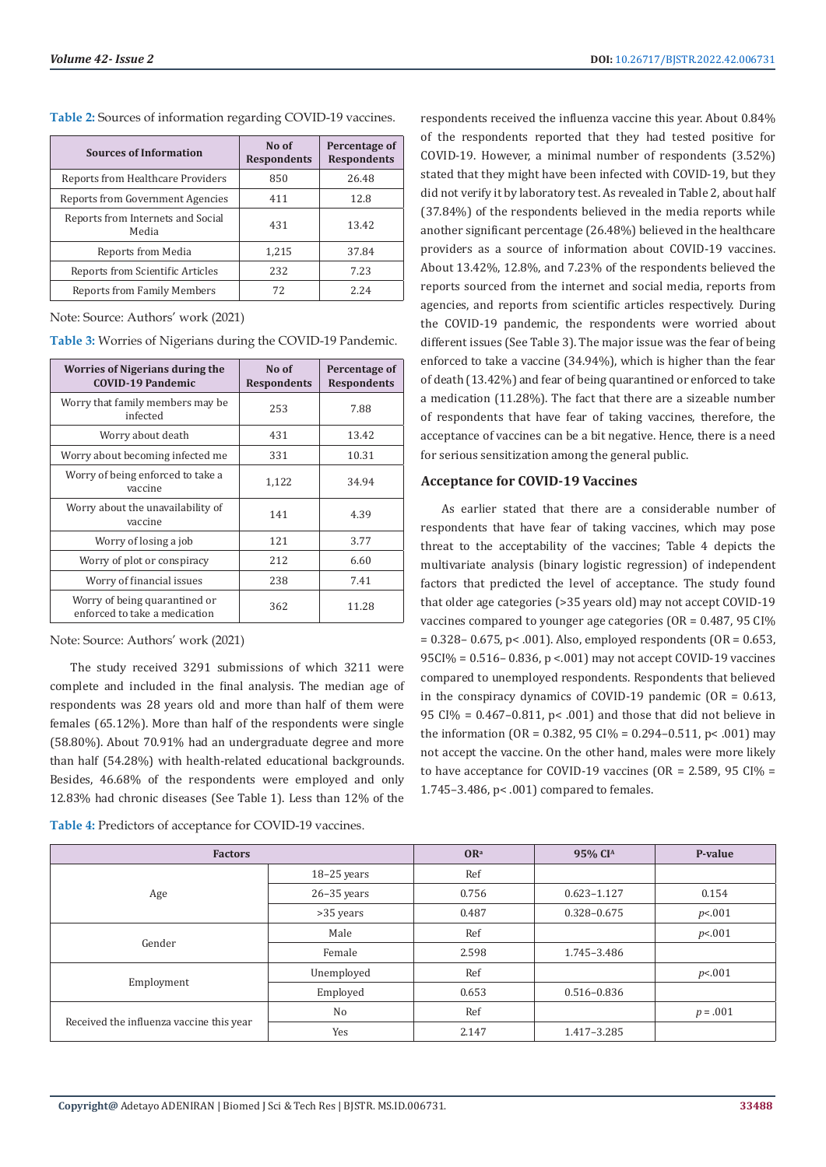| <b>Sources of Information</b>              | No of<br><b>Respondents</b> | Percentage of<br><b>Respondents</b> |
|--------------------------------------------|-----------------------------|-------------------------------------|
| Reports from Healthcare Providers          | 850                         | 26.48                               |
| Reports from Government Agencies           | 411                         | 12.8                                |
| Reports from Internets and Social<br>Media | 431                         | 13.42                               |
| Reports from Media                         | 1,215                       | 37.84                               |
| Reports from Scientific Articles           | 232                         | 7.23                                |
| <b>Reports from Family Members</b>         | 72                          | 2.24                                |

**Table 2:** Sources of information regarding COVID-19 vaccines.

Note: Source: Authors' work (2021)

**Table 3:** Worries of Nigerians during the COVID-19 Pandemic.

| Worries of Nigerians during the<br><b>COVID-19 Pandemic</b>    | No of<br><b>Respondents</b> | Percentage of<br><b>Respondents</b> |
|----------------------------------------------------------------|-----------------------------|-------------------------------------|
| Worry that family members may be<br>infected                   | 253                         | 7.88                                |
| Worry about death                                              | 431                         | 13.42                               |
| Worry about becoming infected me                               | 331                         | 10.31                               |
| Worry of being enforced to take a<br>vaccine                   | 1,122                       | 34.94                               |
| Worry about the unavailability of<br>vaccine                   | 141                         | 4.39                                |
| Worry of losing a job                                          | 121                         | 3.77                                |
| Worry of plot or conspiracy                                    | 212                         | 6.60                                |
| Worry of financial issues                                      | 238                         | 7.41                                |
| Worry of being quarantined or<br>enforced to take a medication | 362                         | 11.28                               |

Note: Source: Authors' work (2021)

The study received 3291 submissions of which 3211 were complete and included in the final analysis. The median age of respondents was 28 years old and more than half of them were females (65.12%). More than half of the respondents were single (58.80%). About 70.91% had an undergraduate degree and more than half (54.28%) with health-related educational backgrounds. Besides, 46.68% of the respondents were employed and only 12.83% had chronic diseases (See Table 1). Less than 12% of the

| Table 4: Predictors of acceptance for COVID-19 vaccines. |  |
|----------------------------------------------------------|--|
|----------------------------------------------------------|--|

respondents received the influenza vaccine this year. About 0.84% of the respondents reported that they had tested positive for COVID-19. However, a minimal number of respondents (3.52%) stated that they might have been infected with COVID-19, but they did not verify it by laboratory test. As revealed in Table 2, about half (37.84%) of the respondents believed in the media reports while another significant percentage (26.48%) believed in the healthcare providers as a source of information about COVID-19 vaccines. About 13.42%, 12.8%, and 7.23% of the respondents believed the reports sourced from the internet and social media, reports from agencies, and reports from scientific articles respectively. During the COVID-19 pandemic, the respondents were worried about different issues (See Table 3). The major issue was the fear of being enforced to take a vaccine (34.94%), which is higher than the fear of death (13.42%) and fear of being quarantined or enforced to take a medication (11.28%). The fact that there are a sizeable number of respondents that have fear of taking vaccines, therefore, the acceptance of vaccines can be a bit negative. Hence, there is a need for serious sensitization among the general public.

#### **Acceptance for COVID-19 Vaccines**

As earlier stated that there are a considerable number of respondents that have fear of taking vaccines, which may pose threat to the acceptability of the vaccines; Table 4 depicts the multivariate analysis (binary logistic regression) of independent factors that predicted the level of acceptance. The study found that older age categories (>35 years old) may not accept COVID-19 vaccines compared to younger age categories (OR = 0.487, 95 CI%  $= 0.328 - 0.675$ , p< .001). Also, employed respondents (OR = 0.653, 95CI% = 0.516– 0.836, p <.001) may not accept COVID-19 vaccines compared to unemployed respondents. Respondents that believed in the conspiracy dynamics of COVID-19 pandemic  $(OR = 0.613,$ 95 CI% = 0.467–0.811, p< .001) and those that did not believe in the information (OR =  $0.382$ , 95 CI% =  $0.294 - 0.511$ , p< .001) may not accept the vaccine. On the other hand, males were more likely to have acceptance for COVID-19 vaccines (OR =  $2.589$ , 95 CI% = 1.745–3.486, p< .001) compared to females.

| <b>Factors</b>                           |                 | OR <sup>a</sup> | 95% CI <sup>A</sup> | P-value    |
|------------------------------------------|-----------------|-----------------|---------------------|------------|
| Age                                      | 18-25 years     | Ref             |                     |            |
|                                          | $26 - 35$ years | 0.756           | $0.623 - 1.127$     | 0.154      |
|                                          | >35 years       | 0.487           | 0.328-0.675         | p<0.01     |
| Gender                                   | Male            | Ref             |                     | p<.001     |
|                                          | Female          | 2.598           | 1.745-3.486         |            |
| Employment                               | Unemployed      | Ref             |                     | p<.001     |
|                                          | Employed        | 0.653           | 0.516-0.836         |            |
| Received the influenza vaccine this year | N <sub>o</sub>  | Ref             |                     | $p = .001$ |
|                                          | Yes             | 2.147           | 1.417-3.285         |            |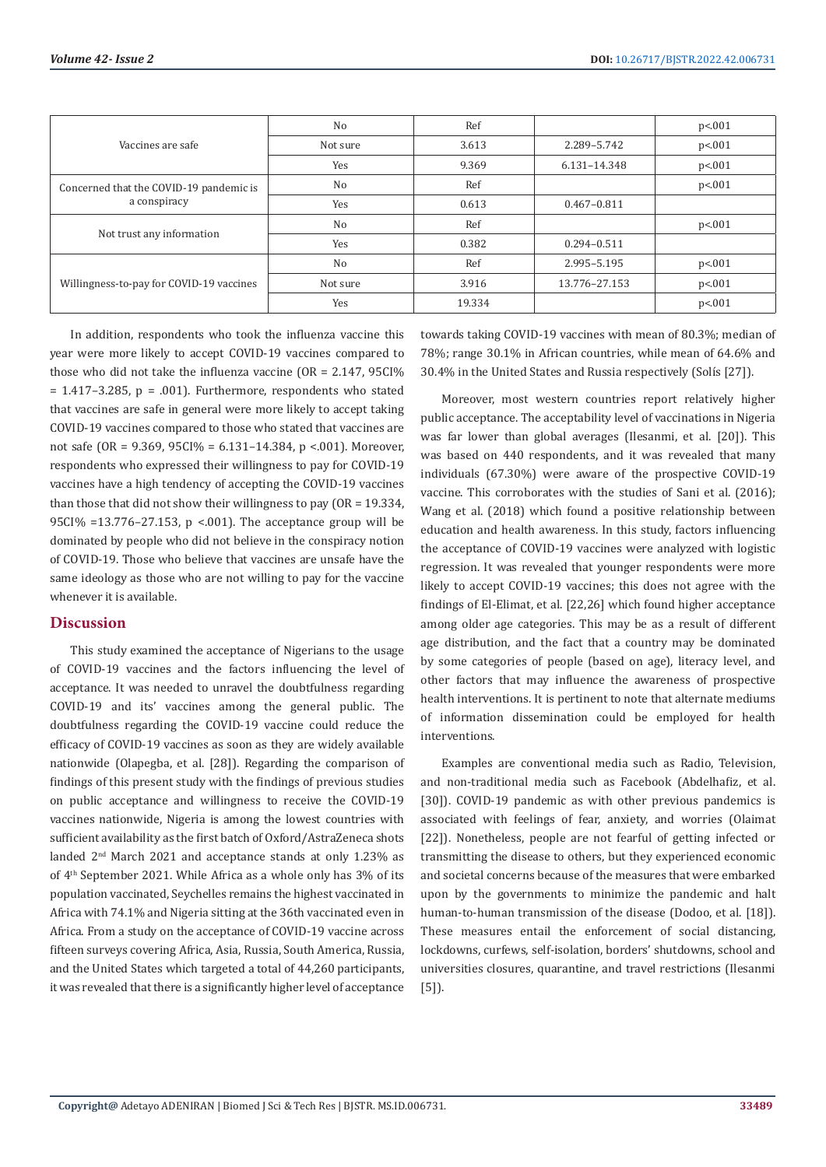| Vaccines are safe                                       | N <sub>0</sub> | Ref    |                 | p<.001 |
|---------------------------------------------------------|----------------|--------|-----------------|--------|
|                                                         | Not sure       | 3.613  | 2.289-5.742     | p<.001 |
|                                                         | Yes            | 9.369  | 6.131-14.348    | p<.001 |
| Concerned that the COVID-19 pandemic is<br>a conspiracy | N <sub>o</sub> | Ref    |                 | p<.001 |
|                                                         | Yes            | 0.613  | $0.467 - 0.811$ |        |
| Not trust any information                               | N <sub>0</sub> | Ref    |                 | p<.001 |
|                                                         | Yes            | 0.382  | $0.294 - 0.511$ |        |
| Willingness-to-pay for COVID-19 vaccines                | N <sub>0</sub> | Ref    | 2.995-5.195     | p<.001 |
|                                                         | Not sure       | 3.916  | 13.776-27.153   | p<.001 |
|                                                         | Yes            | 19.334 |                 | p<.001 |

In addition, respondents who took the influenza vaccine this year were more likely to accept COVID-19 vaccines compared to those who did not take the influenza vaccine (OR = 2.147, 95CI%  $= 1.417 - 3.285$ ,  $p = .001$ ). Furthermore, respondents who stated that vaccines are safe in general were more likely to accept taking COVID-19 vaccines compared to those who stated that vaccines are not safe (OR = 9.369, 95CI% = 6.131–14.384, p <.001). Moreover, respondents who expressed their willingness to pay for COVID-19 vaccines have a high tendency of accepting the COVID-19 vaccines than those that did not show their willingness to pay (OR = 19.334, 95CI% =13.776–27.153, p <.001). The acceptance group will be dominated by people who did not believe in the conspiracy notion of COVID-19. Those who believe that vaccines are unsafe have the same ideology as those who are not willing to pay for the vaccine whenever it is available.

# **Discussion**

This study examined the acceptance of Nigerians to the usage of COVID-19 vaccines and the factors influencing the level of acceptance. It was needed to unravel the doubtfulness regarding COVID-19 and its' vaccines among the general public. The doubtfulness regarding the COVID-19 vaccine could reduce the efficacy of COVID-19 vaccines as soon as they are widely available nationwide (Olapegba, et al. [28]). Regarding the comparison of findings of this present study with the findings of previous studies on public acceptance and willingness to receive the COVID-19 vaccines nationwide, Nigeria is among the lowest countries with sufficient availability as the first batch of Oxford/AstraZeneca shots landed 2nd March 2021 and acceptance stands at only 1.23% as of 4th September 2021. While Africa as a whole only has 3% of its population vaccinated, Seychelles remains the highest vaccinated in Africa with 74.1% and Nigeria sitting at the 36th vaccinated even in Africa. From a study on the acceptance of COVID-19 vaccine across fifteen surveys covering Africa, Asia, Russia, South America, Russia, and the United States which targeted a total of 44,260 participants, it was revealed that there is a significantly higher level of acceptance towards taking COVID-19 vaccines with mean of 80.3%; median of 78%; range 30.1% in African countries, while mean of 64.6% and 30.4% in the United States and Russia respectively (Solís [27]).

Moreover, most western countries report relatively higher public acceptance. The acceptability level of vaccinations in Nigeria was far lower than global averages (Ilesanmi, et al. [20]). This was based on 440 respondents, and it was revealed that many individuals (67.30%) were aware of the prospective COVID-19 vaccine. This corroborates with the studies of Sani et al. (2016); Wang et al. (2018) which found a positive relationship between education and health awareness. In this study, factors influencing the acceptance of COVID-19 vaccines were analyzed with logistic regression. It was revealed that younger respondents were more likely to accept COVID-19 vaccines; this does not agree with the findings of El-Elimat, et al. [22,26] which found higher acceptance among older age categories. This may be as a result of different age distribution, and the fact that a country may be dominated by some categories of people (based on age), literacy level, and other factors that may influence the awareness of prospective health interventions. It is pertinent to note that alternate mediums of information dissemination could be employed for health interventions.

Examples are conventional media such as Radio, Television, and non-traditional media such as Facebook (Abdelhafiz, et al. [30]). COVID-19 pandemic as with other previous pandemics is associated with feelings of fear, anxiety, and worries (Olaimat [22]). Nonetheless, people are not fearful of getting infected or transmitting the disease to others, but they experienced economic and societal concerns because of the measures that were embarked upon by the governments to minimize the pandemic and halt human-to-human transmission of the disease (Dodoo, et al. [18]). These measures entail the enforcement of social distancing, lockdowns, curfews, self-isolation, borders' shutdowns, school and universities closures, quarantine, and travel restrictions (Ilesanmi [5]).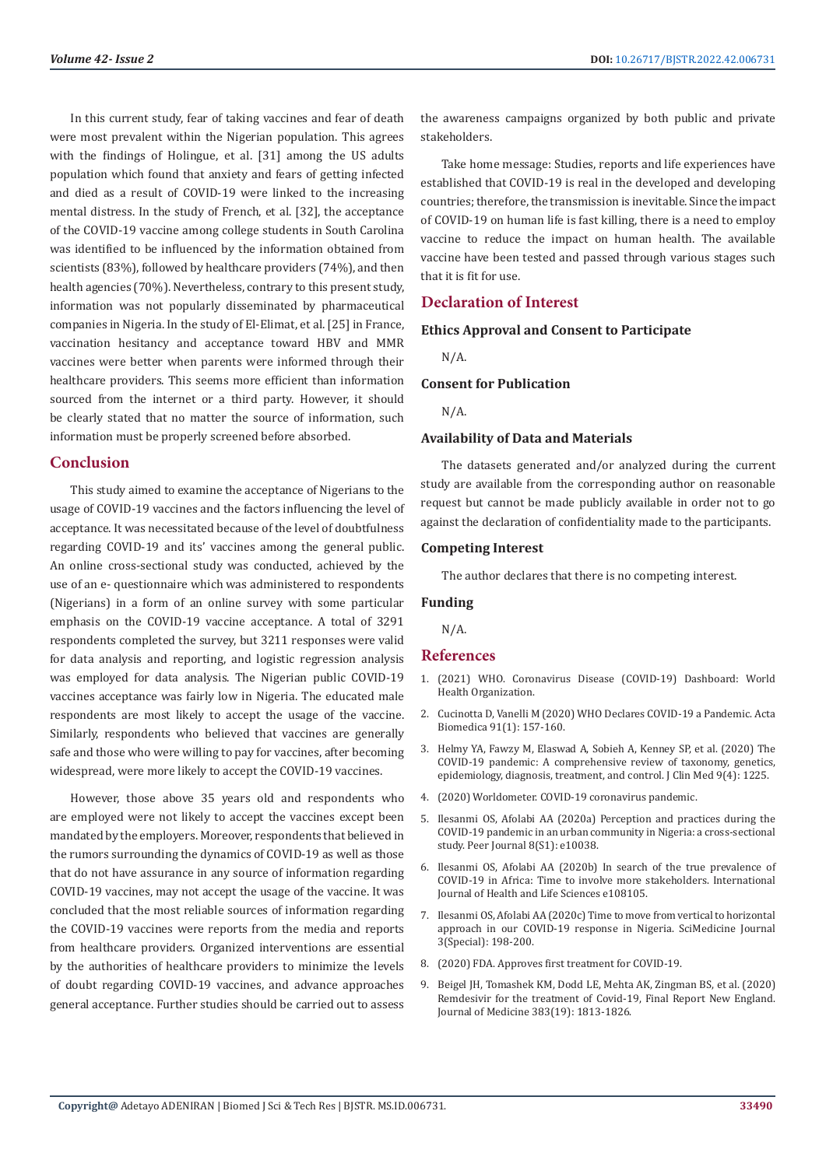In this current study, fear of taking vaccines and fear of death were most prevalent within the Nigerian population. This agrees with the findings of Holingue, et al. [31] among the US adults population which found that anxiety and fears of getting infected and died as a result of COVID-19 were linked to the increasing mental distress. In the study of French, et al. [32], the acceptance of the COVID-19 vaccine among college students in South Carolina was identified to be influenced by the information obtained from scientists (83%), followed by healthcare providers (74%), and then health agencies (70%). Nevertheless, contrary to this present study, information was not popularly disseminated by pharmaceutical companies in Nigeria. In the study of El-Elimat, et al. [25] in France, vaccination hesitancy and acceptance toward HBV and MMR vaccines were better when parents were informed through their healthcare providers. This seems more efficient than information sourced from the internet or a third party. However, it should be clearly stated that no matter the source of information, such information must be properly screened before absorbed.

# **Conclusion**

This study aimed to examine the acceptance of Nigerians to the usage of COVID-19 vaccines and the factors influencing the level of acceptance. It was necessitated because of the level of doubtfulness regarding COVID-19 and its' vaccines among the general public. An online cross-sectional study was conducted, achieved by the use of an e- questionnaire which was administered to respondents (Nigerians) in a form of an online survey with some particular emphasis on the COVID-19 vaccine acceptance. A total of 3291 respondents completed the survey, but 3211 responses were valid for data analysis and reporting, and logistic regression analysis was employed for data analysis. The Nigerian public COVID-19 vaccines acceptance was fairly low in Nigeria. The educated male respondents are most likely to accept the usage of the vaccine. Similarly, respondents who believed that vaccines are generally safe and those who were willing to pay for vaccines, after becoming widespread, were more likely to accept the COVID-19 vaccines.

However, those above 35 years old and respondents who are employed were not likely to accept the vaccines except been mandated by the employers. Moreover, respondents that believed in the rumors surrounding the dynamics of COVID-19 as well as those that do not have assurance in any source of information regarding COVID-19 vaccines, may not accept the usage of the vaccine. It was concluded that the most reliable sources of information regarding the COVID-19 vaccines were reports from the media and reports from healthcare providers. Organized interventions are essential by the authorities of healthcare providers to minimize the levels of doubt regarding COVID-19 vaccines, and advance approaches general acceptance. Further studies should be carried out to assess

the awareness campaigns organized by both public and private stakeholders.

Take home message: Studies, reports and life experiences have established that COVID-19 is real in the developed and developing countries; therefore, the transmission is inevitable. Since the impact of COVID-19 on human life is fast killing, there is a need to employ vaccine to reduce the impact on human health. The available vaccine have been tested and passed through various stages such that it is fit for use.

# **Declaration of Interest**

# **Ethics Approval and Consent to Participate**

N/A.

# **Consent for Publication**

N/A.

#### **Availability of Data and Materials**

The datasets generated and/or analyzed during the current study are available from the corresponding author on reasonable request but cannot be made publicly available in order not to go against the declaration of confidentiality made to the participants.

### **Competing Interest**

The author declares that there is no competing interest.

#### **Funding**

N/A.

# **References**

- 1. [\(2021\) WHO. Coronavirus Disease \(COVID-19\) Dashboard: World](https://covid19.who.int/) [Health Organization](https://covid19.who.int/).
- 2. [Cucinotta D, Vanelli M \(2020\) WHO Declares COVID-19 a Pandemic. Acta](https://www.ncbi.nlm.nih.gov/labs/pmc/articles/PMC7569573/) [Biomedica 91\(1\): 157-160.](https://www.ncbi.nlm.nih.gov/labs/pmc/articles/PMC7569573/)
- 3. [Helmy YA, Fawzy M, Elaswad A, Sobieh A, Kenney SP, et al. \(2020\) The](https://pubmed.ncbi.nlm.nih.gov/32344679/) [COVID-19 pandemic: A comprehensive review of taxonomy, genetics,](https://pubmed.ncbi.nlm.nih.gov/32344679/) [epidemiology, diagnosis, treatment, and control. J Clin Med 9\(4\): 1225](https://pubmed.ncbi.nlm.nih.gov/32344679/).
- 4. (2020) Worldometer. COVID-19 coronavirus pandemic.
- 5. [Ilesanmi OS, Afolabi AA \(2020a\) Perception and practices during the](https://www.ncbi.nlm.nih.gov/labs/pmc/articles/PMC7519720/) [COVID-19 pandemic in an urban community in Nigeria: a cross-sectional](https://www.ncbi.nlm.nih.gov/labs/pmc/articles/PMC7519720/) [study. Peer Journal 8\(S1\): e10038.](https://www.ncbi.nlm.nih.gov/labs/pmc/articles/PMC7519720/)
- 6. [Ilesanmi OS, Afolabi AA \(2020b\) In search of the true prevalence of](https://brief.land/jhrt/articles/108105.html) [COVID-19 in Africa: Time to involve more stakeholders. International](https://brief.land/jhrt/articles/108105.html) [Journal of Health and Life Sciences e108105.](https://brief.land/jhrt/articles/108105.html)
- 7. [Ilesanmi OS, Afolabi AA \(2020c\) Time to move from vertical to horizontal](https://scimedjournal.org/index.php/SMJ/article/view/152) [approach in our COVID-19 response in Nigeria. SciMedicine Journal](https://scimedjournal.org/index.php/SMJ/article/view/152) [3\(Special\): 198-200.](https://scimedjournal.org/index.php/SMJ/article/view/152)
- 8. [\(2020\) FDA. Approves first treatment for COVID-19.](https://www.fda.gov/news-events/press-announcements/fda-approves-first-treatment-covid-19)
- 9. [Beigel JH, Tomashek KM, Dodd LE, Mehta AK, Zingman BS, et al. \(2020\)](https://pubmed.ncbi.nlm.nih.gov/32445440/) [Remdesivir for the treatment of Covid-19, Final Report New England.](https://pubmed.ncbi.nlm.nih.gov/32445440/) [Journal of Medicine 383\(19\): 1813-1826.](https://pubmed.ncbi.nlm.nih.gov/32445440/)